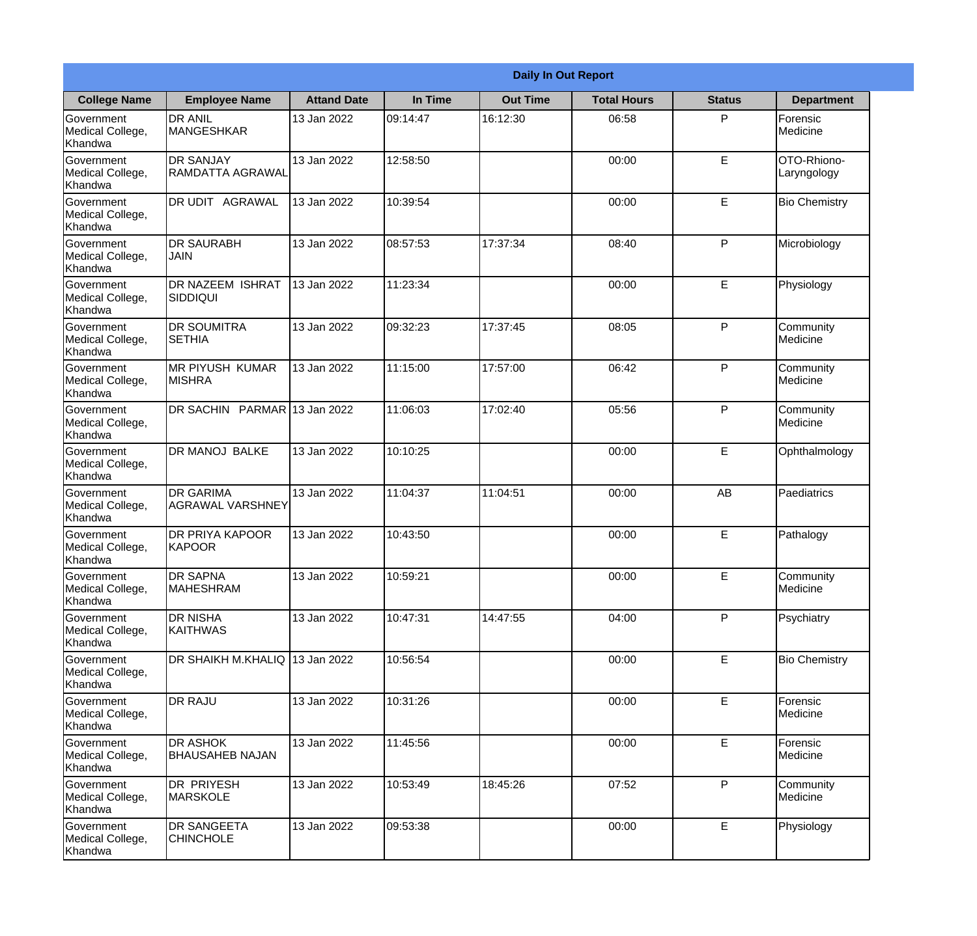|                                                  | <b>Daily In Out Report</b>                  |                    |          |                 |                    |               |                            |  |
|--------------------------------------------------|---------------------------------------------|--------------------|----------|-----------------|--------------------|---------------|----------------------------|--|
| <b>College Name</b>                              | <b>Employee Name</b>                        | <b>Attand Date</b> | In Time  | <b>Out Time</b> | <b>Total Hours</b> | <b>Status</b> | <b>Department</b>          |  |
| Government<br>Medical College,<br>Khandwa        | <b>DR ANIL</b><br><b>MANGESHKAR</b>         | 13 Jan 2022        | 09:14:47 | 16:12:30        | 06:58              | P             | Forensic<br>Medicine       |  |
| Government<br>Medical College,<br>Khandwa        | <b>DR SANJAY</b><br><b>RAMDATTA AGRAWAL</b> | 13 Jan 2022        | 12:58:50 |                 | 00:00              | E             | OTO-Rhiono-<br>Laryngology |  |
| <b>Government</b><br>Medical College,<br>Khandwa | <b>DR UDIT AGRAWAL</b>                      | 13 Jan 2022        | 10:39:54 |                 | 00:00              | E             | <b>Bio Chemistry</b>       |  |
| Government<br>Medical College,<br>Khandwa        | <b>DR SAURABH</b><br><b>JAIN</b>            | 13 Jan 2022        | 08:57:53 | 17:37:34        | 08:40              | P             | Microbiology               |  |
| <b>Government</b><br>Medical College,<br>Khandwa | <b>DR NAZEEM ISHRAT</b><br><b>SIDDIQUI</b>  | 13 Jan 2022        | 11:23:34 |                 | 00:00              | E             | Physiology                 |  |
| Government<br>Medical College,<br>Khandwa        | <b>DR SOUMITRA</b><br><b>SETHIA</b>         | 13 Jan 2022        | 09:32:23 | 17:37:45        | 08:05              | P             | Community<br>Medicine      |  |
| Government<br>Medical College,<br>Khandwa        | <b>IMR PIYUSH KUMAR</b><br><b>MISHRA</b>    | 13 Jan 2022        | 11:15:00 | 17:57:00        | 06:42              | P             | Community<br>Medicine      |  |
| Government<br>Medical College,<br>Khandwa        | DR SACHIN PARMAR 13 Jan 2022                |                    | 11:06:03 | 17:02:40        | 05:56              | P             | Community<br>Medicine      |  |
| Government<br>Medical College,<br>Khandwa        | <b>DR MANOJ BALKE</b>                       | 13 Jan 2022        | 10:10:25 |                 | 00:00              | E             | Ophthalmology              |  |
| Government<br>Medical College,<br>Khandwa        | <b>DR GARIMA</b><br><b>AGRAWAL VARSHNEY</b> | 13 Jan 2022        | 11:04:37 | 11:04:51        | 00:00              | AB            | Paediatrics                |  |
| Government<br>Medical College,<br>Khandwa        | <b>DR PRIYA KAPOOR</b><br>KAPOOR            | 13 Jan 2022        | 10:43:50 |                 | 00:00              | E             | Pathalogy                  |  |
| Government<br>Medical College,<br>Khandwa        | <b>DR SAPNA</b><br><b>MAHESHRAM</b>         | 13 Jan 2022        | 10:59:21 |                 | 00:00              | E             | Community<br>Medicine      |  |
| Government<br>Medical College,<br>Khandwa        | <b>DR NISHA</b><br><b>KAITHWAS</b>          | 13 Jan 2022        | 10:47:31 | 14:47:55        | 04:00              | P             | Psychiatry                 |  |
| Government<br>Medical College,<br>Khandwa        | <b>DR SHAIKH M.KHALIQ</b>                   | 13 Jan 2022        | 10:56:54 |                 | 00:00              | E             | <b>Bio Chemistry</b>       |  |
| <b>Government</b><br>Medical College,<br>Khandwa | <b>DR RAJU</b>                              | 13 Jan 2022        | 10:31:26 |                 | 00:00              | E             | Forensic<br>Medicine       |  |
| Government<br>Medical College,<br>Khandwa        | <b>DR ASHOK</b><br><b>BHAUSAHEB NAJAN</b>   | 13 Jan 2022        | 11:45:56 |                 | 00:00              | E             | Forensic<br>Medicine       |  |
| Government<br>Medical College,<br>Khandwa        | <b>DR PRIYESH</b><br>MARSKOLE               | 13 Jan 2022        | 10:53:49 | 18:45:26        | 07:52              | P             | Community<br>Medicine      |  |
| Government<br>Medical College,<br>Khandwa        | <b>DR SANGEETA</b><br><b>CHINCHOLE</b>      | 13 Jan 2022        | 09:53:38 |                 | 00:00              | E             | Physiology                 |  |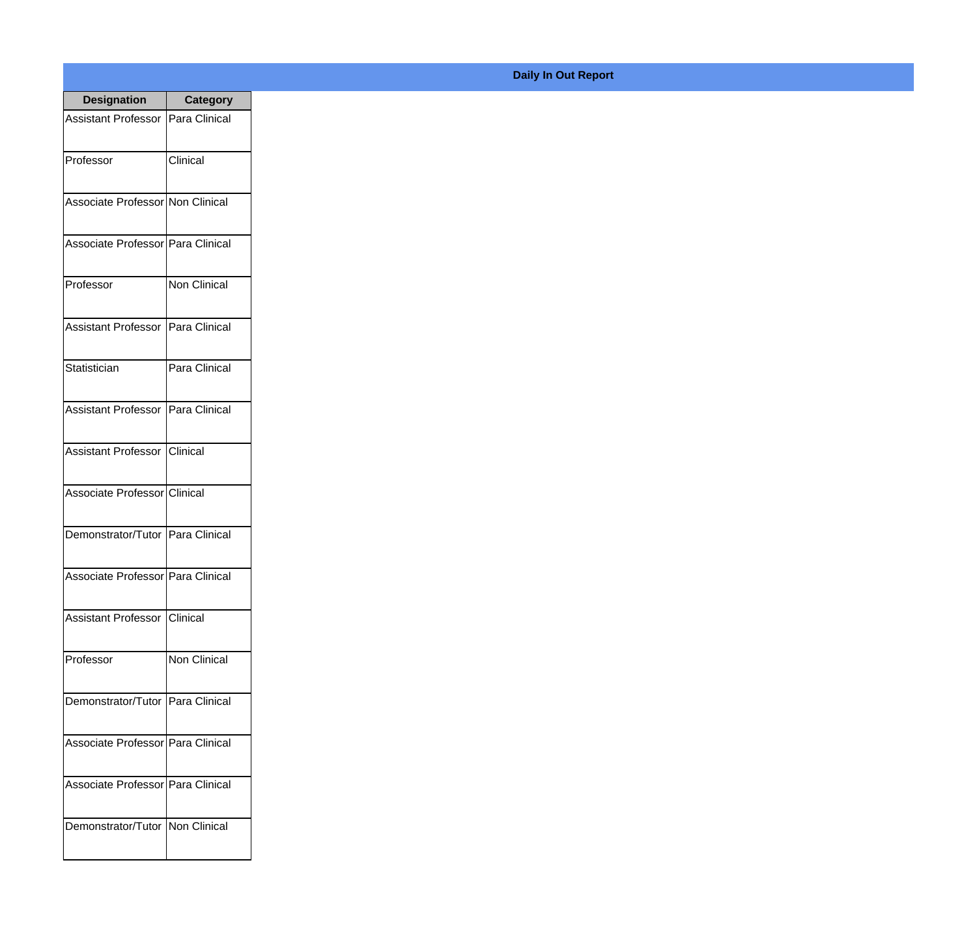| <b>Designation</b>                  | <b>Category</b>     |
|-------------------------------------|---------------------|
| Assistant Professor   Para Clinical |                     |
| Professor                           | Clinical            |
| Associate Professor Non Clinical    |                     |
| Associate Professor Para Clinical   |                     |
| Professor                           | Non Clinical        |
| Assistant Professor   Para Clinical |                     |
| Statistician                        | Para Clinical       |
| Assistant Professor   Para Clinical |                     |
| Assistant Professor   Clinical      |                     |
| Associate Professor Clinical        |                     |
| Demonstrator/Tutor   Para Clinical  |                     |
| Associate Professor Para Clinical   |                     |
| <b>Assistant Professor</b>          | Clinical            |
| Professor                           | <b>Non Clinical</b> |
| Demonstrator/Tutor   Para Clinical  |                     |
| Associate Professor   Para Clinical |                     |
| Associate Professor   Para Clinical |                     |
| Demonstrator/Tutor   Non Clinical   |                     |

## **Daily In Out Report**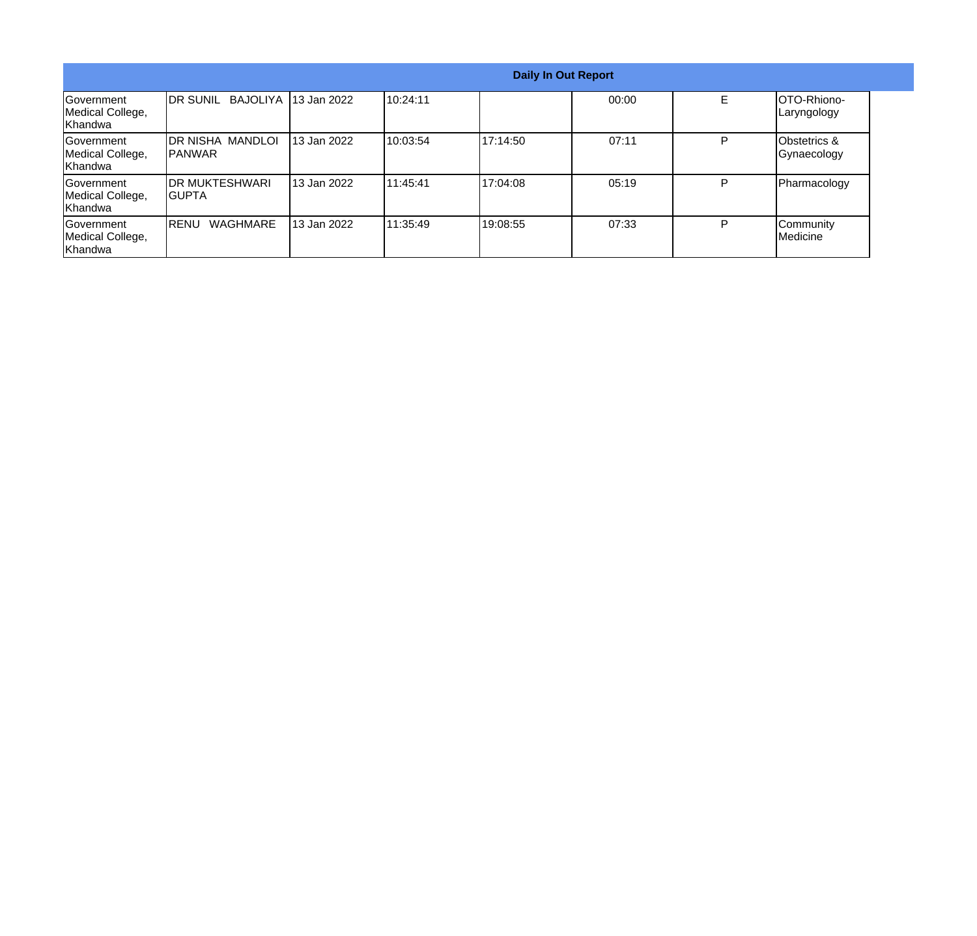|                                                   |                                  |                       |           |           | <b>Daily In Out Report</b> |   |                             |
|---------------------------------------------------|----------------------------------|-----------------------|-----------|-----------|----------------------------|---|-----------------------------|
| lGovernment<br>Medical College,<br>lKhandwa       | <b>IDR SUNIL</b>                 | BAJOLIYA 113 Jan 2022 | 10:24:11  |           | 00:00                      | E | OTO-Rhiono-<br>Laryngology  |
| <b>Government</b><br>Medical College,<br>IKhandwa | IDR NISHA MANDLOI<br>IPANWAR     | 13 Jan 2022           | 10:03:54  | 117:14:50 | 07:11                      | P | Obstetrics &<br>Gynaecology |
| <b>Government</b><br>Medical College,<br>Khandwa  | <b>IDR MUKTESHWARI</b><br>IGUPTA | l 13 Jan 2022         | 111:45:41 | 117:04:08 | 05:19                      | D | Pharmacology                |
| Government<br>Medical College,<br>Khandwa         | <b>WAGHMARE</b><br>IRENU         | l 13 Jan 2022         | 111:35:49 | 19:08:55  | 07:33                      | Þ | Community<br>Medicine       |